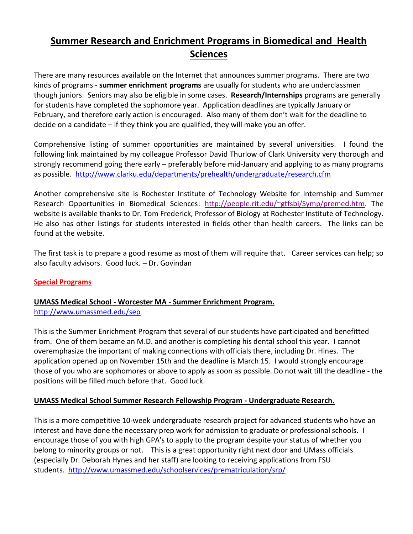# **Summer Research and Enrichment Programs in Biomedical and Health Sciences**

There are many resources available on the Internet that announces summer programs. There are two kinds of programs - **summer enrichment programs** are usually for students who are underclassmen though juniors. Seniors may also be eligible in some cases. **Research/Internships** programs are generally for students have completed the sophomore year. Application deadlines are typically January or February, and therefore early action is encouraged. Also many of them don't wait for the deadline to decide on a candidate – if they think you are qualified, they will make you an offer.

Comprehensive listing of summer opportunities are maintained by several universities. I found the following link maintained by my colleague Professor David Thurlow of Clark University very thorough and strongly recommend going there early – preferably before mid-January and applying to as many programs as possible. <http://www.clarku.edu/departments/prehealth/undergraduate/research.cfm>

Another comprehensive site is Rochester Institute of Technology Website for Internship and Summer Research Opportunities in Biomedical Sciences: [http://people.rit.edu/~gtfsbi/Symp/premed.htm.](http://people.rit.edu/~gtfsbi/Symp/premed.htm) The website is available thanks to Dr. Tom Frederick, Professor of Biology at Rochester Institute of Technology. He also has other listings for students interested in fields other than health careers. The links can be found at the website.

The first task is to prepare a good resume as most of them will require that. Career services can help; so also faculty advisors. Good luck. – Dr. Govindan

#### **Special Programs**

#### **UMASS Medical School - Worcester MA - Summer Enrichment Program.**  <http://www.umassmed.edu/sep>

This is the Summer Enrichment Program that several of our students have participated and benefitted from. One of them became an M.D. and another is completing his dental school this year. I cannot overemphasize the important of making connections with officials there, including Dr. Hines. The application opened up on November 15th and the deadline is March 15. I would strongly encourage those of you who are sophomores or above to apply as soon as possible. Do not wait till the deadline - the positions will be filled much before that. Good luck.

#### **UMASS Medical School Summer Research Fellowship Program - Undergraduate Research.**

This is a more competitive 10-week undergraduate research project for advanced students who have an interest and have done the necessary prep work for admission to graduate or professional schools. I encourage those of you with high GPA's to apply to the program despite your status of whether you belong to minority groups or not. This is a great opportunity right next door and UMass officials (especially Dr. Deborah Hynes and her staff) are looking to receiving applications from FSU students. <http://www.umassmed.edu/schoolservices/prematriculation/srp/>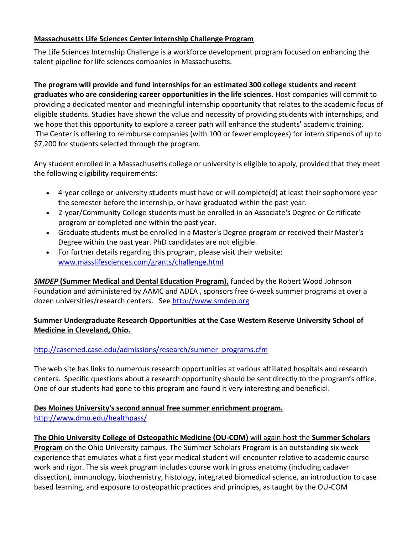### **Massachusetts Life Sciences Center Internship Challenge Program**

The Life Sciences Internship Challenge is a workforce development program focused on enhancing the talent pipeline for life sciences companies in Massachusetts.

**The program will provide and fund internships for an estimated 300 college students and recent graduates who are considering career opportunities in the life sciences.** Host companies will commit to providing a dedicated mentor and meaningful internship opportunity that relates to the academic focus of eligible students. Studies have shown the value and necessity of providing students with internships, and we hope that this opportunity to explore a career path will enhance the students' academic training. The Center is offering to reimburse companies (with 100 or fewer employees) for intern stipends of up to \$7,200 for students selected through the program.

Any student enrolled in a Massachusetts college or university is eligible to apply, provided that they meet the following eligibility requirements:

- 4-year college or university students must have or will complete(d) at least their sophomore year the semester before the internship, or have graduated within the past year.
- 2-year/Community College students must be enrolled in an Associate's Degree or Certificate program or completed one within the past year.
- Graduate students must be enrolled in a Master's Degree program or received their Master's Degree within the past year. PhD candidates are not eligible.
- For further details regarding this program, please visit their website: [www.masslifesciences.com/grants/challenge.html](http://r20.rs6.net/tn.jsp?llr=crabxyiab&et=1109096431743&s=3564&e=001Ree7aKpOZ9LAEwDfOqpY33ECKkB80jpasUC_lK7qqCEqBEIP8yyYWju7OH8BQ6F31t-2x42RpB6nZCmB6AEepsqKiztBOR0protRAssNjZu2LRoE-Xc2b69dgaZM4eQYBMCIIWjefsHfxKKZsNCAnyIP3QNMhVqG)

*SMDEP* **(Summer Medical and Dental Education Program),** funded by the Robert Wood Johnson Foundation and administered by AAMC and ADEA , sponsors free 6-week summer programs at over a dozen universities/research centers. Se[e http://www.smdep.org](http://www.smdep.org/)

# **Summer Undergraduate Research Opportunities at the Case Western Reserve University School of Medicine in Cleveland, Ohio.**

# [http://casemed.case.edu/admissions/research/summer\\_programs.cfm](http://casemed.case.edu/admissions/research/summer_programs.cfm)

The web site has links to numerous research opportunities at various affiliated hospitals and research centers. Specific questions about a research opportunity should be sent directly to the program's office. One of our students had gone to this program and found it very interesting and beneficial.

## **Des Moines University's second annual free summer enrichment program.**  <http://www.dmu.edu/healthpass/>

### **The Ohio University College of Osteopathic Medicine (OU-COM)** will again host the **Summer Scholars Program** on the Ohio University campus. The Summer Scholars Program is an outstanding six week experience that emulates what a first year medical student will encounter relative to academic course work and rigor. The six week program includes course work in gross anatomy (including cadaver dissection), immunology, biochemistry, histology, integrated biomedical science, an introduction to case based learning, and exposure to osteopathic practices and principles, as taught by the OU-COM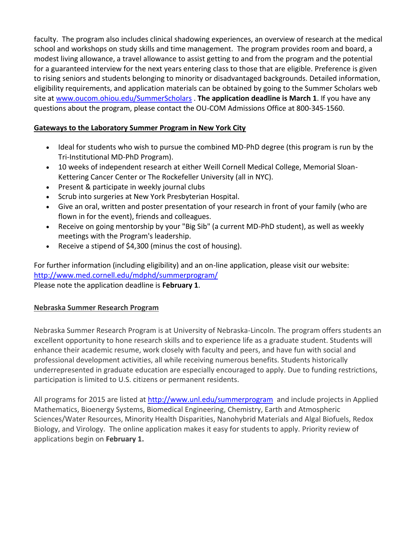faculty. The program also includes clinical shadowing experiences, an overview of research at the medical school and workshops on study skills and time management. The program provides room and board, a modest living allowance, a travel allowance to assist getting to and from the program and the potential for a guaranteed interview for the next years entering class to those that are eligible. Preference is given to rising seniors and students belonging to minority or disadvantaged backgrounds. Detailed information, eligibility requirements, and application materials can be obtained by going to the Summer Scholars web site at [www.oucom.ohiou.edu/SummerScholars](http://www.oucom.ohiou.edu/SummerScholars) . **The application deadline is March 1**. If you have any questions about the program, please contact the OU-COM Admissions Office at 800-345-1560.

# **Gateways to the Laboratory Summer Program in New York City**

- Ideal for students who wish to pursue the combined MD-PhD degree (this program is run by the Tri-Institutional MD-PhD Program).
- 10 weeks of independent research at either Weill Cornell Medical College, Memorial Sloan-Kettering Cancer Center or The Rockefeller University (all in NYC).
- Present & participate in weekly journal clubs
- Scrub into surgeries at New York Presbyterian Hospital.
- Give an oral, written and poster presentation of your research in front of your family (who are flown in for the event), friends and colleagues.
- Receive on going mentorship by your "Big Sib" (a current MD-PhD student), as well as weekly meetings with the Program's leadership.
- Receive a stipend of \$4,300 (minus the cost of housing).

For further information (including eligibility) and an on-line application, please visit our website: <http://www.med.cornell.edu/mdphd/summerprogram/>

Please note the application deadline is **February 1**.

# **Nebraska Summer Research Program**

Nebraska Summer Research Program is at University of Nebraska-Lincoln. The program offers students an excellent opportunity to hone research skills and to experience life as a graduate student. Students will enhance their academic resume, work closely with faculty and peers, and have fun with social and professional development activities, all while receiving numerous benefits. Students historically underrepresented in graduate education are especially encouraged to apply. Due to funding restrictions, participation is limited to U.S. citizens or permanent residents.

All programs for 2015 are listed at<http://www.unl.edu/summerprogram>and include projects in Applied Mathematics, Bioenergy Systems, Biomedical Engineering, Chemistry, Earth and Atmospheric Sciences/Water Resources, Minority Health Disparities, Nanohybrid Materials and Algal Biofuels, Redox Biology, and Virology. The online application makes it easy for students to apply. Priority review of applications begin on **February 1.**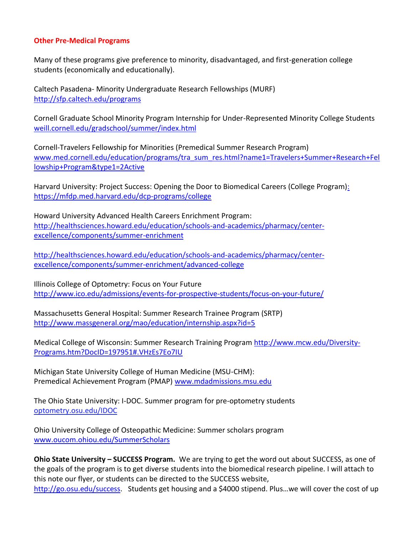#### **Other Pre-Medical Programs**

Many of these programs give preference to minority, disadvantaged, and first-generation college students (economically and educationally).

Caltech Pasadena- Minority Undergraduate Research Fellowships (MURF[\)](http://www.its.caltech.edu/~murf/) [http://sfp.caltech.edu/programs](http://www.its.caltech.edu/~murf/)

Cornell Graduate School Minority Program Internship for Under-Represented Minority College Students [weill.cornell.edu/gradschool/summer/index.html](http://biomedsci.cornell.edu/graduate_school/html/14805.cfm)

Cornell-Travelers Fellowship for Minorities (Premedical Summer Research Program[\)](http://www.med.cornell.edu/education/programs/tra_sum_res.html?name1=Travelers+Summer+Research+Fellowship+Program&type1=2Active) [www.med.cornell.edu/education/programs/tra\\_sum\\_res.html?name1=Travelers+Summer+Research+Fel](http://www.med.cornell.edu/education/programs/tra_sum_res.html?name1=Travelers+Summer+Research+Fellowship+Program&type1=2Active) [lowship+Program&type1=2Active](http://www.med.cornell.edu/education/programs/tra_sum_res.html?name1=Travelers+Summer+Research+Fellowship+Program&type1=2Active) 

Harvard University: Project Success: Opening the Door [to Biomedical Careers \(College Program\):](http://www.mfdp.med.harvard.edu/college/project_success/index.htm) <https://mfdp.med.harvard.edu/dcp-programs/college>

Howard University Advanced Health Careers Enrichment Program: [http://healthsciences.howard.edu/education/schools-and-academics/pharmacy/center](http://healthsciences.howard.edu/education/schools-and-academics/pharmacy/center-excellence/components/summer-enrichment)[excellence/components/summer-enrichment](http://healthsciences.howard.edu/education/schools-and-academics/pharmacy/center-excellence/components/summer-enrichment)

[http://healthsciences.howard.edu/education/schools-and-academics/pharmacy/center](http://healthsciences.howard.edu/education/schools-and-academics/pharmacy/center-excellence/components/summer-enrichment/advanced-college)[excellence/components/summer-enrichment/advanced-college](http://healthsciences.howard.edu/education/schools-and-academics/pharmacy/center-excellence/components/summer-enrichment/advanced-college)

Illinois College of Optometry: Focus on Your Future <http://www.ico.edu/admissions/events-for-prospective-students/focus-on-your-future/>

Massachusetts General Hospital: Summer Research Trainee Program (SRTP) <http://www.massgeneral.org/mao/education/internship.aspx?id=5>

Medical College of Wisconsin: Summer Research Training Program [http://www.mcw.edu/Diversity-](http://www.mcw.edu/Diversity-Programs.htm?DocID=197951#.VHzEs7Eo7IU)[Programs.htm?DocID=197951#.VHzEs7Eo7IU](http://www.mcw.edu/Diversity-Programs.htm?DocID=197951#.VHzEs7Eo7IU)

Michigan State University College of Human Medicine (MSU-CHM): Premedical Achievement Program (PMAP) [www.mdadmissions.msu.edu](http://www.mdadmissions.msu.edu/)

The Ohio State University: I-DOC. Summer program for pre-optometry students [optometry.osu.edu/IDOC](http://optometry.osu.edu/IDOC)

Ohio University College of Osteopathic Medicine: Summer scholars program [www.oucom.ohiou.edu/SummerScholars](http://www.oucom.ohiou.edu/SummerScholars)

**Ohio State University – SUCCESS Program.** We are trying to get the word out about SUCCESS, as one of the goals of the program is to get diverse students into the biomedical research pipeline. I will attach to this note our flyer, or students can be directed to the SUCCESS website, [http://go.osu.edu/success.](http://go.osu.edu/success) Students get housing and a \$4000 stipend. Plus...we will cover the cost of up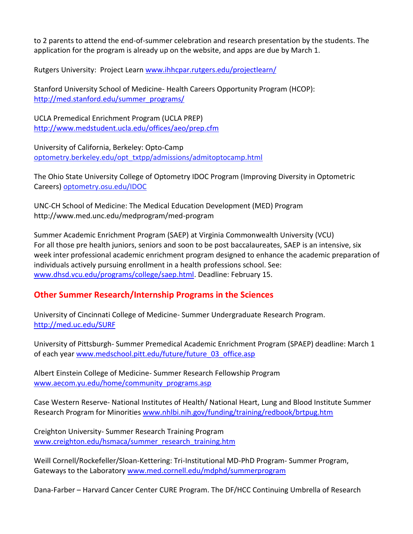to 2 parents to attend the end-of-summer celebration and research presentation by the students. The application for the program is already up on the website, and apps are due by March 1.

Rutgers University: Project Learn [www.ihhcpar.rutgers.edu/projectlearn/](http://www.ihhcpar.rutgers.edu/projectlearn/)

Stanford University School of Medicine- Health Careers Opportunity Program (HCOP): [http://med.stanford.edu/summer\\_programs/](http://med.stanford.edu/summer_programs/)

UCLA Premedical Enrichment Program (UCLA PREP) <http://www.medstudent.ucla.edu/offices/aeo/prep.cfm>

University of California, Berkeley: Opto-Cam[p](http://optometry.berkeley.edu/opt_txtpp/admissions/admitoptocamp.html) [optometry.berkeley.edu/opt\\_txtpp/admissions/admitoptocamp.html](http://optometry.berkeley.edu/opt_txtpp/admissions/admitoptocamp.html)

The Ohio State University College of Optometry IDOC Program (Improving Diversity in Optometric Careers) [optometry.osu.edu/IDOC](http://optometry.osu.edu/IDOC)

UNC-CH School of Medicine: The Medical Education Development (MED) Program http://www.med.unc.edu/medprogram/med-program

Summer Academic Enrichment Program (SAEP) at Virginia Commonwealth University (VCU) For all those pre health juniors, seniors and soon to be post baccalaureates, SAEP is an intensive, six week inter professional academic enrichment program designed to enhance the academic preparation of individuals actively pursuing enrollment in a health professions school. See: [www.dhsd.vcu.edu/programs/college/saep.html.](http://www.dhsd.vcu.edu/programs/college/saep.html) Deadline: February 15.

# **Other Summer Research/Internship Programs in the Sciences**

University of Cincinnati College of Medicine- Summer Undergraduate Research Program. <http://med.uc.edu/SURF>

University of Pittsburgh- Summer Premedical Academic Enrichment Program (SPAEP) deadline: March 1 of each year [www.medschool.pitt.edu/future/future\\_03\\_office.asp](http://www.medschool.pitt.edu/future/future_03_office.asp)

Albert Einstein College of Medicine- Summer Research Fellowship Program [www.aecom.yu.edu/home/community\\_programs.asp](http://www.aecom.yu.edu/home/community_programs.asp)

Case Western Reserve- National Institutes of Health/ National Heart, Lung and Blood Institute Summer Research Program for Minorities [www.nhlbi.nih.gov/funding/training/redbook/brtpug.htm](http://www.nhlbi.nih.gov/funding/training/redbook/brtpug.htm)

Creighton University- Summer Research Training Program [www.creighton.edu/hsmaca/summer\\_research\\_training.htm](http://www.creighton.edu/hsmaca/summer_research_training.htm)

Weill Cornell/Rockefeller/Sloan-Kettering: Tri-Institutional MD-PhD Program- Summer Program, Gateways to the Laboratory [www.med.cornell.edu/mdphd/summerprogram](http://www.med.cornell.edu/mdphd/summerprogram)

Dana-Farber – Harvard Cancer Center CURE Program. The DF/HCC Continuing Umbrella of Research